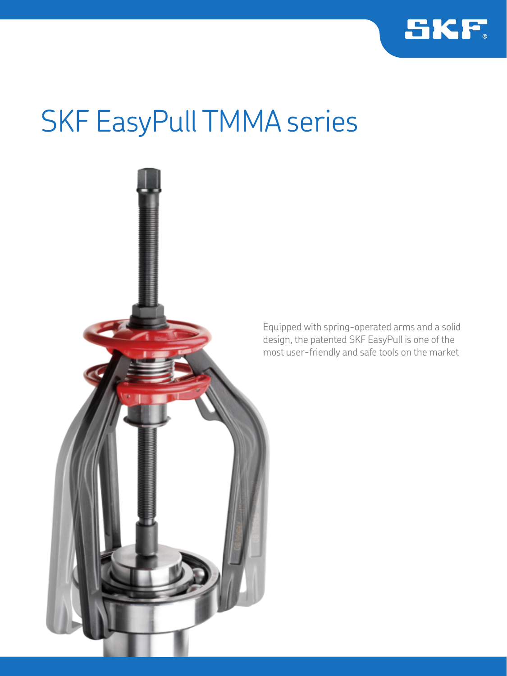

# SKF EasyPull TMMA series

Equipped with spring-operated arms and a solid design, the patented SKF EasyPull is one of the most user-friendly and safe tools on the market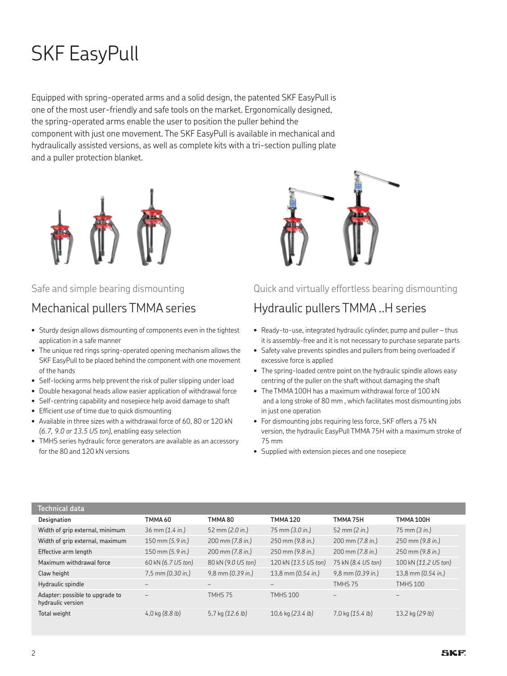## SKF EasyPull

Equipped with spring-operated arms and a solid design, the patented SKF EasyPull is one of the most user-friendly and safe tools on the market. Ergonomically designed, the spring-operated arms enable the user to position the puller behind the component with just one movement. The SKF EasyPull is available in mechanical and hydraulically assisted versions, as well as complete kits with a tri-section pulling plate and a puller protection blanket.



#### Safe and simple bearing dismounting

## Mechanical pullers TMMA series

- Sturdy design allows dismounting of components even in the tightest application in a safe manner
- The unique red rings spring-operated opening mechanism allows the SKF EasyPull to be placed behind the component with one movement of the hands
- Self-locking arms help prevent the risk of puller slipping under load
- Double hexagonal heads allow easier application of withdrawal force
- Self-centring capability and nosepiece help avoid damage to shaft
- Efficient use of time due to quick dismounting
- Available in three sizes with a withdrawal force of 60, 80 or 120 kN *(6.7, 9.0 or 13.5 US ton)*, enabling easy selection
- TMHS series hydraulic force generators are available as an accessory for the 80 and 120 kN versions



#### Quick and virtually effortless bearing dismounting

### Hydraulic pullers TMMA ..H series

- Ready-to-use, integrated hydraulic cylinder, pump and puller thus it is assembly-free and it is not necessary to purchase separate parts
- Safety valve prevents spindles and pullers from being overloaded if excessive force is applied
- The spring-loaded centre point on the hydraulic spindle allows easy centring of the puller on the shaft without damaging the shaft
- The TMMA 100H has a maximum withdrawal force of 100 kN and a long stroke of 80 mm , which facilitates most dismounting jobs in just one operation
- For dismounting jobs requiring less force, SKF offers a 75 kN version, the hydraulic EasyPull TMMA 75H with a maximum stroke of 75 mm
- Supplied with extension pieces and one nosepiece

| Technical data                                       |                                     |                       |                                    |                                    |                                 |
|------------------------------------------------------|-------------------------------------|-----------------------|------------------------------------|------------------------------------|---------------------------------|
| Designation                                          | TMMA 60                             | TMMA80                | <b>TMMA 120</b>                    | TMMA 75H                           | <b>TMMA 100H</b>                |
| Width of grip external, minimum                      | 36 mm (1.4 in.)                     | 52 mm (2.0 in.)       | 75 mm (3.0 in.)                    | 52 mm $(2 in.)$                    | $75 \text{ mm} (3 \text{ in.})$ |
| Width of grip external, maximum                      | $150 \text{ mm } (5.9 \text{ in.})$ | 200 mm (7.8 in.)      | $250 \text{ mm} (9.8 \text{ in.})$ | $200 \text{ mm} (7.8 \text{ in.})$ | 250 mm (9.8 in.)                |
| Effective arm length                                 | $150 \text{ mm } (5.9 \text{ in.})$ | 200 mm (7.8 in.)      | $250 \text{ mm} (9.8 \text{ in.})$ | $200 \text{ mm} (7.8 \text{ in.})$ | 250 mm (9.8 in.)                |
| Maximum withdrawal force                             | 60 kN (6.7 US ton)                  | 80 kN (9.0 US ton)    | 120 kN (13.5 US ton)               | 75 kN (8.4 US ton)                 | 100 kN (11.2 US ton)            |
| Claw height                                          | $7,5$ mm $(0.30$ in.)               | $9,8$ mm $(0.39$ in.) | 13,8 mm $(0.54 \text{ in.})$       | $9,8$ mm $(0.39$ in.)              | 13,8 mm $(0.54 \text{ in.})$    |
| Hydraulic spindle                                    |                                     |                       |                                    | TMHS 75                            | <b>TMHS 100</b>                 |
| Adapter: possible to upgrade to<br>hydraulic version |                                     | TMHS 75               | <b>TMHS 100</b>                    |                                    |                                 |
| Total weight                                         | 4,0 kg $(8.8 lb)$                   | 5,7 kg $(12.6 lb)$    | 10,6 kg $(23.4 \text{ lb})$        | $7.0 \text{ kg} (15.4 \text{ lb})$ | 13,2 kg (29 lb)                 |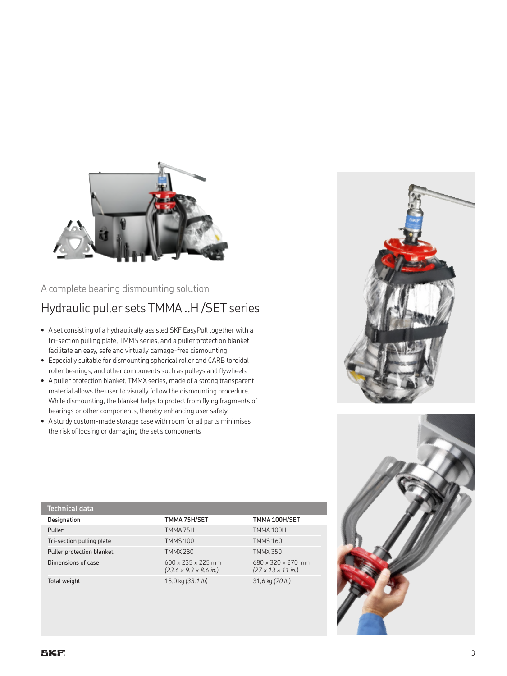

#### A complete bearing dismounting solution

## Hydraulic puller sets TMMA ..H /SET series

- • A set consisting of a hydraulically assisted SKF EasyPull together with a tri-section pulling plate, TMMS series, and a puller protection blanket facilitate an easy, safe and virtually damage-free dismounting
- Especially suitable for dismounting spherical roller and CARB toroidal roller bearings, and other components such as pulleys and flywheels
- A puller protection blanket, TMMX series, made of a strong transparent material allows the user to visually follow the dismounting procedure. While dismounting, the blanket helps to protect from flying fragments of bearings or other components, thereby enhancing user safety
- A sturdy custom-made storage case with room for all parts minimises the risk of loosing or damaging the set's components



| Technical data            |                                                                              |                                                                          |
|---------------------------|------------------------------------------------------------------------------|--------------------------------------------------------------------------|
| Designation               | TMMA 75H/SET                                                                 | TMMA 100H/SET                                                            |
| Puller                    | TMMA 75H                                                                     | TMMA100H                                                                 |
| Tri-section pulling plate | <b>TMMS 100</b>                                                              | <b>TMMS160</b>                                                           |
| Puller protection blanket | <b>TMMX 280</b>                                                              | <b>TMMX350</b>                                                           |
| Dimensions of case        | $600 \times 235 \times 225$ mm<br>$(23.6 \times 9.3 \times 8.6 \text{ in.})$ | $680 \times 320 \times 270$ mm<br>$(27 \times 13 \times 11 \text{ in.})$ |
| Total weight              | 15,0 kg $(33.1 \text{ lb})$                                                  | 31,6 kg (70 lb)                                                          |